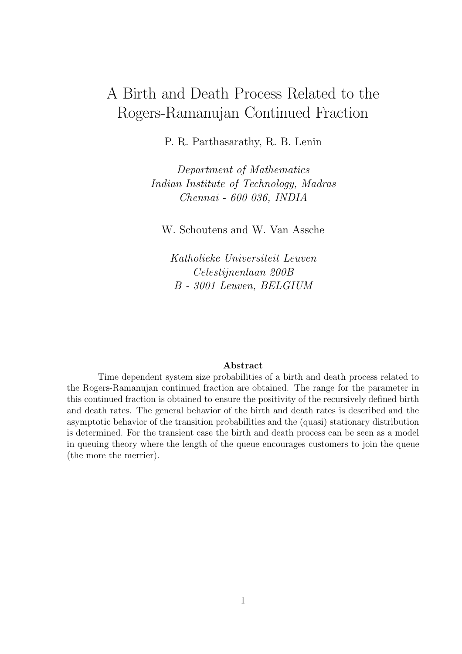# A Birth and Death Process Related to the Rogers-Ramanujan Continued Fraction

P. R. Parthasarathy, R. B. Lenin

*Department of Mathematics Indian Institute of Technology, Madras Chennai - 600 036, INDIA*

W. Schoutens and W. Van Assche

*Katholieke Universiteit Leuven Celestijnenlaan 200B B - 3001 Leuven, BELGIUM*

#### **Abstract**

Time dependent system size probabilities of a birth and death process related to the Rogers-Ramanujan continued fraction are obtained. The range for the parameter in this continued fraction is obtained to ensure the positivity of the recursively defined birth and death rates. The general behavior of the birth and death rates is described and the asymptotic behavior of the transition probabilities and the (quasi) stationary distribution is determined. For the transient case the birth and death process can be seen as a model in queuing theory where the length of the queue encourages customers to join the queue (the more the merrier).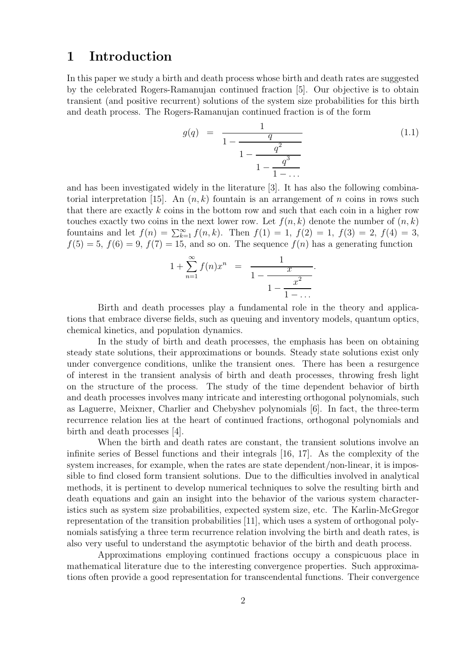#### **1 Introduction**

In this paper we study a birth and death process whose birth and death rates are suggested by the celebrated Rogers-Ramanujan continued fraction [5]. Our objective is to obtain transient (and positive recurrent) solutions of the system size probabilities for this birth and death process. The Rogers-Ramanujan continued fraction is of the form

$$
g(q) = \frac{1}{1 - \frac{q}{1 - \frac{q^2}{1 - \frac{q^3}{1 - \dots}}}}
$$
(1.1)

and has been investigated widely in the literature [3]. It has also the following combinatorial interpretation [15]. An  $(n, k)$  fountain is an arrangement of *n* coins in rows such that there are exactly *k* coins in the bottom row and such that each coin in a higher row touches exactly two coins in the next lower row. Let  $f(n, k)$  denote the number of  $(n, k)$ fountains and let  $f(n) = \sum_{k=1}^{\infty} f(n, k)$ . Then  $f(1) = 1$ ,  $f(2) = 1$ ,  $f(3) = 2$ ,  $f(4) = 3$ ,  $f(5) = 5$ ,  $f(6) = 9$ ,  $f(7) = 15$ , and so on. The sequence  $f(n)$  has a generating function

$$
1 + \sum_{n=1}^{\infty} f(n)x^n = \frac{1}{1 - \frac{x}{1 - \frac{x^2}{1 - \dots}}}.
$$

Birth and death processes play a fundamental role in the theory and applications that embrace diverse fields, such as queuing and inventory models, quantum optics, chemical kinetics, and population dynamics.

In the study of birth and death processes, the emphasis has been on obtaining steady state solutions, their approximations or bounds. Steady state solutions exist only under convergence conditions, unlike the transient ones. There has been a resurgence of interest in the transient analysis of birth and death processes, throwing fresh light on the structure of the process. The study of the time dependent behavior of birth and death processes involves many intricate and interesting orthogonal polynomials, such as Laguerre, Meixner, Charlier and Chebyshev polynomials [6]. In fact, the three-term recurrence relation lies at the heart of continued fractions, orthogonal polynomials and birth and death processes [4].

When the birth and death rates are constant, the transient solutions involve an infinite series of Bessel functions and their integrals [16, 17]. As the complexity of the system increases, for example, when the rates are state dependent/non-linear, it is impossible to find closed form transient solutions. Due to the difficulties involved in analytical methods, it is pertinent to develop numerical techniques to solve the resulting birth and death equations and gain an insight into the behavior of the various system characteristics such as system size probabilities, expected system size, etc. The Karlin-McGregor representation of the transition probabilities [11], which uses a system of orthogonal polynomials satisfying a three term recurrence relation involving the birth and death rates, is also very useful to understand the asymptotic behavior of the birth and death process.

Approximations employing continued fractions occupy a conspicuous place in mathematical literature due to the interesting convergence properties. Such approximations often provide a good representation for transcendental functions. Their convergence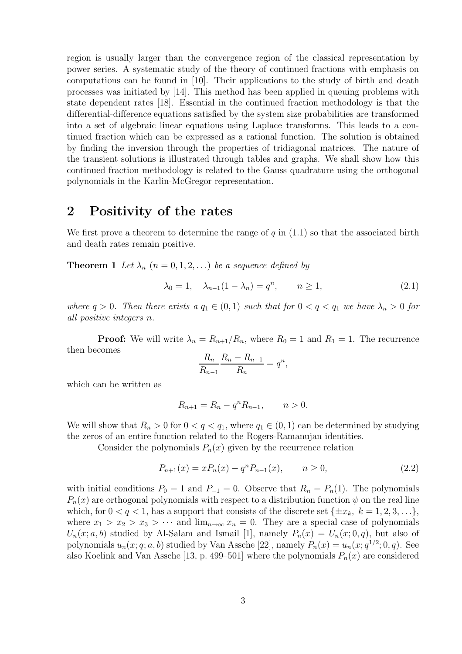region is usually larger than the convergence region of the classical representation by power series. A systematic study of the theory of continued fractions with emphasis on computations can be found in [10]. Their applications to the study of birth and death processes was initiated by [14]. This method has been applied in queuing problems with state dependent rates [18]. Essential in the continued fraction methodology is that the differential-difference equations satisfied by the system size probabilities are transformed into a set of algebraic linear equations using Laplace transforms. This leads to a continued fraction which can be expressed as a rational function. The solution is obtained by finding the inversion through the properties of tridiagonal matrices. The nature of the transient solutions is illustrated through tables and graphs. We shall show how this continued fraction methodology is related to the Gauss quadrature using the orthogonal polynomials in the Karlin-McGregor representation.

### **2 Positivity of the rates**

We first prove a theorem to determine the range of  $q$  in  $(1.1)$  so that the associated birth and death rates remain positive.

**Theorem 1** *Let*  $\lambda_n$  ( $n = 0, 1, 2, \ldots$ ) *be a sequence defined by* 

$$
\lambda_0 = 1, \quad \lambda_{n-1}(1 - \lambda_n) = q^n, \qquad n \ge 1,
$$
\n(2.1)

*where*  $q > 0$ *. Then there exists*  $a q_1 \in (0,1)$  *such that for*  $0 < q < q_1$  *we have*  $\lambda_n > 0$  *for all positive integers n.*

**Proof:** We will write  $\lambda_n = R_{n+1}/R_n$ , where  $R_0 = 1$  and  $R_1 = 1$ . The recurrence then becomes

$$
\frac{R_n}{R_{n-1}}\frac{R_n - R_{n+1}}{R_n} = q^n,
$$

which can be written as

$$
R_{n+1} = R_n - q^n R_{n-1}, \qquad n > 0.
$$

We will show that  $R_n > 0$  for  $0 < q < q_1$ , where  $q_1 \in (0,1)$  can be determined by studying the zeros of an entire function related to the Rogers-Ramanujan identities.

Consider the polynomials  $P_n(x)$  given by the recurrence relation

$$
P_{n+1}(x) = xP_n(x) - q^n P_{n-1}(x), \qquad n \ge 0,
$$
\n(2.2)

with initial conditions  $P_0 = 1$  and  $P_{-1} = 0$ . Observe that  $R_n = P_n(1)$ . The polynomials  $P_n(x)$  are orthogonal polynomials with respect to a distribution function  $\psi$  on the real line which, for  $0 < q < 1$ , has a support that consists of the discrete set  $\{\pm x_k, k = 1, 2, 3, ...\}$ , where  $x_1 > x_2 > x_3 > \cdots$  and  $\lim_{n\to\infty} x_n = 0$ . They are a special case of polynomials  $U_n(x; a, b)$  studied by Al-Salam and Ismail [1], namely  $P_n(x) = U_n(x; 0, q)$ , but also of polynomials  $u_n(x; q; a, b)$  studied by Van Assche [22], namely  $P_n(x) = u_n(x; q^{1/2}; 0, q)$ . See also Koelink and Van Assche [13, p. 499–501] where the polynomials  $P_n(x)$  are considered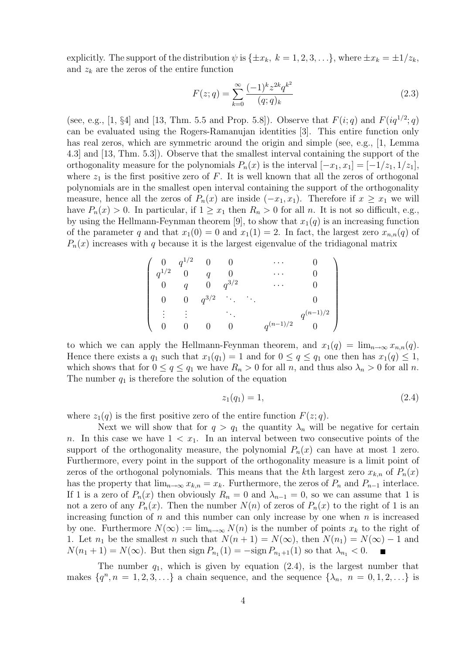explicitly. The support of the distribution  $\psi$  is  $\{\pm x_k, k = 1, 2, 3, ...\}$ , where  $\pm x_k = \pm 1/z_k$ , and  $z_k$  are the zeros of the entire function

$$
F(z;q) = \sum_{k=0}^{\infty} \frac{(-1)^k z^{2k} q^{k^2}}{(q;q)_k}
$$
\n(2.3)

(see, e.g., [1, §4] and [13, Thm. 5.5 and Prop. 5.8]). Observe that  $F(i; q)$  and  $F(iq^{1/2}; q)$ can be evaluated using the Rogers-Ramanujan identities [3]. This entire function only has real zeros, which are symmetric around the origin and simple (see, e.g., [1, Lemma 4.3] and [13, Thm. 5.3]). Observe that the smallest interval containing the support of the orthogonality measure for the polynomials  $P_n(x)$  is the interval  $[-x_1, x_1] = [-1/x_1, 1/x_1]$ , where  $z_1$  is the first positive zero of  $F$ . It is well known that all the zeros of orthogonal polynomials are in the smallest open interval containing the support of the orthogonality measure, hence all the zeros of  $P_n(x)$  are inside  $(-x_1, x_1)$ . Therefore if  $x \geq x_1$  we will have  $P_n(x) > 0$ . In particular, if  $1 \ge x_1$  then  $R_n > 0$  for all *n*. It is not so difficult, e.g., by using the Hellmann-Feynman theorem [9], to show that  $x_1(q)$  is an increasing function of the parameter *q* and that  $x_1(0) = 0$  and  $x_1(1) = 2$ . In fact, the largest zero  $x_{n,n}(q)$  of  $P_n(x)$  increases with *q* because it is the largest eigenvalue of the tridiagonal matrix

$$
\left(\begin{array}{ccccc}0&q^{1/2}&0&0&\cdots&0\\q^{1/2}&0&q&0&\cdots&0\\0&q&0&q^{3/2}&\cdots&0\\0&0&q^{3/2}&\ddots&0\\ \vdots&\vdots&\ddots&\ddots&\\0&0&0&0&q^{(n-1)/2}&0\end{array}\right)
$$

to which we can apply the Hellmann-Feynman theorem, and  $x_1(q) = \lim_{n \to \infty} x_{n,n}(q)$ . Hence there exists a  $q_1$  such that  $x_1(q_1) = 1$  and for  $0 \le q \le q_1$  one then has  $x_1(q) \le 1$ , which shows that for  $0 \le q \le q_1$  we have  $R_n > 0$  for all *n*, and thus also  $\lambda_n > 0$  for all *n*. The number  $q_1$  is therefore the solution of the equation

$$
z_1(q_1) = 1,\t\t(2.4)
$$

where  $z_1(q)$  is the first positive zero of the entire function  $F(z; q)$ .

Next we will show that for  $q > q_1$  the quantity  $\lambda_n$  will be negative for certain *n*. In this case we have  $1 < x_1$ . In an interval between two consecutive points of the support of the orthogonality measure, the polynomial  $P_n(x)$  can have at most 1 zero. Furthermore, every point in the support of the orthogonality measure is a limit point of zeros of the orthogonal polynomials. This means that the *k*th largest zero  $x_{k,n}$  of  $P_n(x)$ has the property that  $\lim_{n\to\infty} x_{k,n} = x_k$ . Furthermore, the zeros of  $P_n$  and  $P_{n-1}$  interlace. If 1 is a zero of  $P_n(x)$  then obviously  $R_n = 0$  and  $\lambda_{n-1} = 0$ , so we can assume that 1 is not a zero of any  $P_n(x)$ . Then the number  $N(n)$  of zeros of  $P_n(x)$  to the right of 1 is an increasing function of *n* and this number can only increase by one when *n* is increased by one. Furthermore  $N(\infty) := \lim_{n \to \infty} N(n)$  is the number of points  $x_k$  to the right of 1. Let  $n_1$  be the smallest *n* such that  $N(n+1) = N(\infty)$ , then  $N(n_1) = N(\infty) - 1$  and  $N(n_1 + 1) = N(\infty)$ . But then sign  $P_{n_1}(1) = -\text{sign } P_{n_1+1}(1)$  so that  $\lambda_{n_1} < 0$ .

The number  $q_1$ , which is given by equation  $(2.4)$ , is the largest number that makes  $\{q^n, n = 1, 2, 3, \ldots\}$  a chain sequence, and the sequence  $\{\lambda_n, n = 0, 1, 2, \ldots\}$  is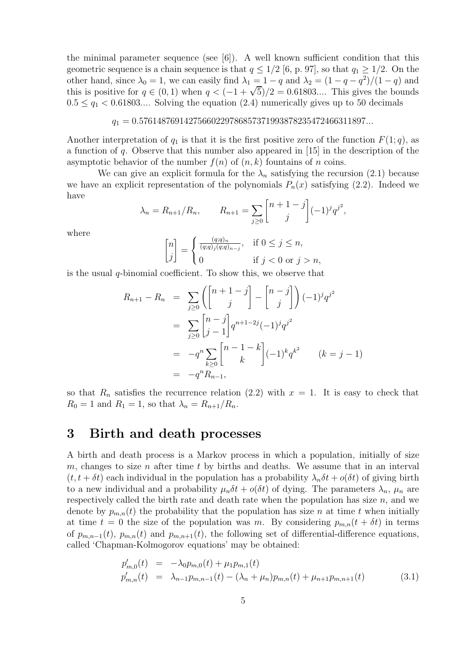the minimal parameter sequence (see  $[6]$ ). A well known sufficient condition that this geometric sequence is a chain sequence is that  $q \leq 1/2$  [6, p. 97], so that  $q_1 \geq 1/2$ . On the other hand, since  $\lambda_0 = 1$ , we can easily find  $\lambda_1 = 1 - q$  and  $\lambda_2 = (1 - q - q^2)/(1 - q)$  and this is positive for  $q \in (0,1)$  when  $q < (-1 + \sqrt{5})/2 = 0.61803...$  This gives the bounds  $0.5 \le q_1 < 0.61803...$  Solving the equation (2.4) numerically gives up to 50 decimals

#### *q*<sup>1</sup> = 0*.*57614876914275660229786857371993878235472466311897*...*

Another interpretation of  $q_1$  is that it is the first positive zero of the function  $F(1; q)$ , as a function of *q*. Observe that this number also appeared in [15] in the description of the asymptotic behavior of the number  $f(n)$  of  $(n, k)$  fountains of *n* coins.

We can give an explicit formula for the  $\lambda_n$  satisfying the recursion (2.1) because we have an explicit representation of the polynomials  $P_n(x)$  satisfying (2.2). Indeed we have

$$
\lambda_n = R_{n+1}/R_n
$$
,  $R_{n+1} = \sum_{j \ge 0} \begin{bmatrix} n+1-j \ j \end{bmatrix} (-1)^j q^{j^2}$ ,

where

$$
\begin{bmatrix} n \\ j \end{bmatrix} = \begin{cases} \frac{(q;q)_n}{(q;q)_j(q;q)_{n-j}}, & \text{if } 0 \le j \le n, \\ 0 & \text{if } j < 0 \text{ or } j > n, \end{cases}
$$

is the usual *q*-binomial coefficient. To show this, we observe that

$$
R_{n+1} - R_n = \sum_{j\geq 0} \left( \begin{bmatrix} n+1-j \\ j \end{bmatrix} - \begin{bmatrix} n-j \\ j \end{bmatrix} \right) (-1)^j q^{j^2}
$$
  
= 
$$
\sum_{j\geq 0} \begin{bmatrix} n-j \\ j-1 \end{bmatrix} q^{n+1-2j} (-1)^j q^{j^2}
$$
  
= 
$$
-q^n \sum_{k\geq 0} \begin{bmatrix} n-1-k \\ k \end{bmatrix} (-1)^k q^{k^2} \qquad (k = j - 1)
$$
  
= 
$$
-q^n R_{n-1},
$$

so that  $R_n$  satisfies the recurrence relation (2.2) with  $x = 1$ . It is easy to check that  $R_0 = 1$  and  $R_1 = 1$ , so that  $\lambda_n = R_{n+1}/R_n$ .

### **3 Birth and death processes**

A birth and death process is a Markov process in which a population, initially of size *m*, changes to size *n* after time *t* by births and deaths. We assume that in an interval  $(t, t + \delta t)$  each individual in the population has a probability  $\lambda_n \delta t + o(\delta t)$  of giving birth to a new individual and a probability  $\mu_n \delta t + o(\delta t)$  of dying. The parameters  $\lambda_n$ ,  $\mu_n$  are respectively called the birth rate and death rate when the population has size *n*, and we denote by  $p_{m,n}(t)$  the probability that the population has size *n* at time *t* when initially at time  $t = 0$  the size of the population was *m*. By considering  $p_{m,n}(t + \delta t)$  in terms of  $p_{m,n-1}(t)$ ,  $p_{m,n}(t)$  and  $p_{m,n+1}(t)$ , the following set of differential-difference equations, called 'Chapman-Kolmogorov equations' may be obtained:

$$
p'_{m,0}(t) = -\lambda_0 p_{m,0}(t) + \mu_1 p_{m,1}(t)
$$
  
\n
$$
p'_{m,n}(t) = \lambda_{n-1} p_{m,n-1}(t) - (\lambda_n + \mu_n) p_{m,n}(t) + \mu_{n+1} p_{m,n+1}(t)
$$
\n(3.1)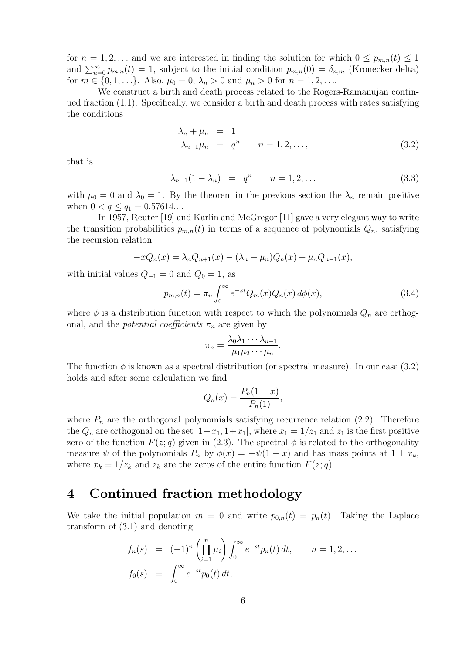for  $n = 1, 2, \ldots$  and we are interested in finding the solution for which  $0 \leq p_{m,n}(t) \leq 1$ and  $\sum_{n=0}^{\infty} p_{m,n}(t) = 1$ , subject to the initial condition  $p_{m,n}(0) = \delta_{n,m}$  (Kronecker delta) for  $m \in \{0, 1, \ldots\}$ . Also,  $\mu_0 = 0$ ,  $\lambda_n > 0$  and  $\mu_n > 0$  for  $n = 1, 2, \ldots$ 

We construct a birth and death process related to the Rogers-Ramanujan continued fraction (1.1). Specifically, we consider a birth and death process with rates satisfying the conditions

$$
\lambda_n + \mu_n = 1
$$
  
\n
$$
\lambda_{n-1}\mu_n = q^n \qquad n = 1, 2, \dots,
$$
\n(3.2)

that is

$$
\lambda_{n-1}(1 - \lambda_n) = q^n \qquad n = 1, 2, \dots \tag{3.3}
$$

with  $\mu_0 = 0$  and  $\lambda_0 = 1$ . By the theorem in the previous section the  $\lambda_n$  remain positive when  $0 < q \leq q_1 = 0.57614...$ 

In 1957, Reuter [19] and Karlin and McGregor [11] gave a very elegant way to write the transition probabilities  $p_{m,n}(t)$  in terms of a sequence of polynomials  $Q_n$ , satisfying the recursion relation

$$
-xQ_n(x) = \lambda_n Q_{n+1}(x) - (\lambda_n + \mu_n)Q_n(x) + \mu_n Q_{n-1}(x),
$$

with initial values  $Q_{-1} = 0$  and  $Q_0 = 1$ , as

$$
p_{m,n}(t) = \pi_n \int_0^\infty e^{-xt} Q_m(x) Q_n(x) d\phi(x), \qquad (3.4)
$$

where  $\phi$  is a distribution function with respect to which the polynomials  $Q_n$  are orthogonal, and the *potential coefficients*  $\pi_n$  are given by

$$
\pi_n = \frac{\lambda_0 \lambda_1 \cdots \lambda_{n-1}}{\mu_1 \mu_2 \cdots \mu_n}.
$$

The function  $\phi$  is known as a spectral distribution (or spectral measure). In our case (3.2) holds and after some calculation we find

$$
Q_n(x) = \frac{P_n(1-x)}{P_n(1)},
$$

where  $P_n$  are the orthogonal polynomials satisfying recurrence relation  $(2.2)$ . Therefore the  $Q_n$  are orthogonal on the set  $[1-x_1, 1+x_1]$ , where  $x_1 = 1/z_1$  and  $z_1$  is the first positive zero of the function  $F(z; q)$  given in (2.3). The spectral  $\phi$  is related to the orthogonality measure  $\psi$  of the polynomials  $P_n$  by  $\phi(x) = -\psi(1-x)$  and has mass points at  $1 \pm x_k$ , where  $x_k = 1/z_k$  and  $z_k$  are the zeros of the entire function  $F(z; q)$ .

### **4 Continued fraction methodology**

We take the initial population  $m = 0$  and write  $p_{0,n}(t) = p_n(t)$ . Taking the Laplace transform of (3.1) and denoting

$$
f_n(s) = (-1)^n \left(\prod_{i=1}^n \mu_i\right) \int_0^\infty e^{-st} p_n(t) dt, \qquad n = 1, 2, ...
$$
  

$$
f_0(s) = \int_0^\infty e^{-st} p_0(t) dt,
$$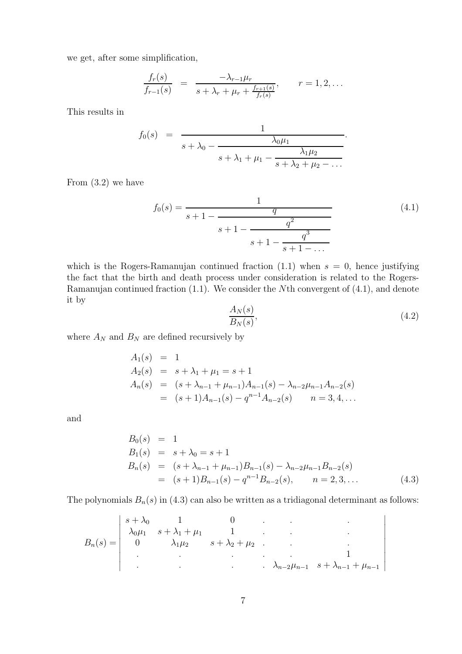we get, after some simplification,

$$
\frac{f_r(s)}{f_{r-1}(s)} = \frac{-\lambda_{r-1}\mu_r}{s + \lambda_r + \mu_r + \frac{f_{r+1}(s)}{f_r(s)}}, \qquad r = 1, 2, ...
$$

This results in

$$
f_0(s) = \frac{1}{s + \lambda_0 - \frac{\lambda_0 \mu_1}{s + \lambda_1 + \mu_1 - \frac{\lambda_1 \mu_2}{s + \lambda_2 + \mu_2 - \dots}}}.
$$

From (3.2) we have

$$
f_0(s) = \frac{1}{s+1 - \frac{q}{s+1 - \frac{q^2}{s+1 - \frac{q^3}{s+1 - \dots}}}}
$$
(4.1)

which is the Rogers-Ramanujan continued fraction  $(1.1)$  when  $s = 0$ , hence justifying the fact that the birth and death process under consideration is related to the Rogers-Ramanujan continued fraction (1.1). We consider the *N*th convergent of (4.1), and denote it by

$$
\frac{A_N(s)}{B_N(s)},\tag{4.2}
$$

where  $A_N$  and  $B_N$  are defined recursively by

$$
A_1(s) = 1
$$
  
\n
$$
A_2(s) = s + \lambda_1 + \mu_1 = s + 1
$$
  
\n
$$
A_n(s) = (s + \lambda_{n-1} + \mu_{n-1})A_{n-1}(s) - \lambda_{n-2}\mu_{n-1}A_{n-2}(s)
$$
  
\n
$$
= (s + 1)A_{n-1}(s) - q^{n-1}A_{n-2}(s) \qquad n = 3, 4, ...
$$

and

$$
B_0(s) = 1
$$
  
\n
$$
B_1(s) = s + \lambda_0 = s + 1
$$
  
\n
$$
B_n(s) = (s + \lambda_{n-1} + \mu_{n-1})B_{n-1}(s) - \lambda_{n-2}\mu_{n-1}B_{n-2}(s)
$$
  
\n
$$
= (s + 1)B_{n-1}(s) - q^{n-1}B_{n-2}(s), \quad n = 2, 3, ...
$$
\n(4.3)

The polynomials  $B_n(s)$  in (4.3) can also be written as a tridiagonal determinant as follows:

$$
B_n(s) = \begin{vmatrix} s + \lambda_0 & 1 & 0 \\ \lambda_0 \mu_1 & s + \lambda_1 + \mu_1 & 1 \\ 0 & \lambda_1 \mu_2 & s + \lambda_2 + \mu_2 & \cdot & \cdot \\ \cdot & \cdot & \cdot & \cdot & \cdot \\ \cdot & \cdot & \cdot & \cdot & \cdot \\ \cdot & \cdot & \cdot & \cdot & \cdot \\ \cdot & \cdot & \cdot & \cdot & \cdot \\ \end{vmatrix}
$$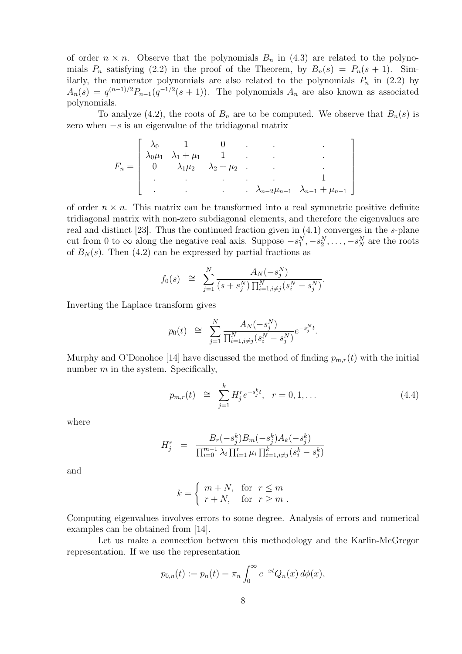of order  $n \times n$ . Observe that the polynomials  $B_n$  in (4.3) are related to the polynomials  $P_n$  satisfying (2.2) in the proof of the Theorem, by  $B_n(s) = P_n(s + 1)$ . Similarly, the numerator polynomials are also related to the polynomials  $P_n$  in (2.2) by  $A_n(s) = q^{(n-1)/2} P_{n-1}(q^{-1/2}(s+1))$ . The polynomials  $A_n$  are also known as associated polynomials.

To analyze (4.2), the roots of  $B_n$  are to be computed. We observe that  $B_n(s)$  is zero when −*s* is an eigenvalue of the tridiagonal matrix

$$
F_n = \begin{bmatrix} \lambda_0 & 1 & 0 \\ \lambda_0 \mu_1 & \lambda_1 + \mu_1 & 1 & & \\ 0 & \lambda_1 \mu_2 & \lambda_2 + \mu_2 & . & . & . \\ . & . & . & . & . & . & . \\ . & . & . & . & . & . & . & . \\ . & . & . & . & . & . & . & . \\ . & . & . & . & . & . & . & . & . \end{bmatrix}
$$

of order  $n \times n$ . This matrix can be transformed into a real symmetric positive definite tridiagonal matrix with non-zero subdiagonal elements, and therefore the eigenvalues are real and distinct [23]. Thus the continued fraction given in (4.1) converges in the *s*-plane cut from 0 to  $\infty$  along the negative real axis. Suppose  $-s_1^N, -s_2^N, \ldots, -s_N^N$  are the roots of  $B_N(s)$ . Then (4.2) can be expressed by partial fractions as

$$
f_0(s) \cong \sum_{j=1}^N \frac{A_N(-s_j^N)}{(s+s_j^N) \prod_{i=1, i \neq j}^N (s_i^N - s_j^N)}.
$$

Inverting the Laplace transform gives

$$
p_0(t) \cong \sum_{j=1}^N \frac{A_N(-s_j^N)}{\prod_{i=1, i \neq j}^N (s_i^N - s_j^N)} e^{-s_j^N t}.
$$

Murphy and O'Donohoe [14] have discussed the method of finding  $p_{m,r}(t)$  with the initial number *m* in the system. Specifically,

$$
p_{m,r}(t) \cong \sum_{j=1}^{k} H_j^r e^{-s_j^k t}, \quad r = 0, 1, \dots \tag{4.4}
$$

where

$$
H_j^r = \frac{B_r(-s_j^k)B_m(-s_j^k)A_k(-s_j^k)}{\prod_{i=0}^{m-1} \lambda_i \prod_{i=1}^r \mu_i \prod_{i=1, i \neq j}^k (s_i^k - s_j^k)}
$$

and

$$
k = \begin{cases} m + N, & \text{for } r \le m \\ r + N, & \text{for } r \ge m \end{cases}.
$$

Computing eigenvalues involves errors to some degree. Analysis of errors and numerical examples can be obtained from [14].

Let us make a connection between this methodology and the Karlin-McGregor representation. If we use the representation

$$
p_{0,n}(t) := p_n(t) = \pi_n \int_0^\infty e^{-xt} Q_n(x) \, d\phi(x),
$$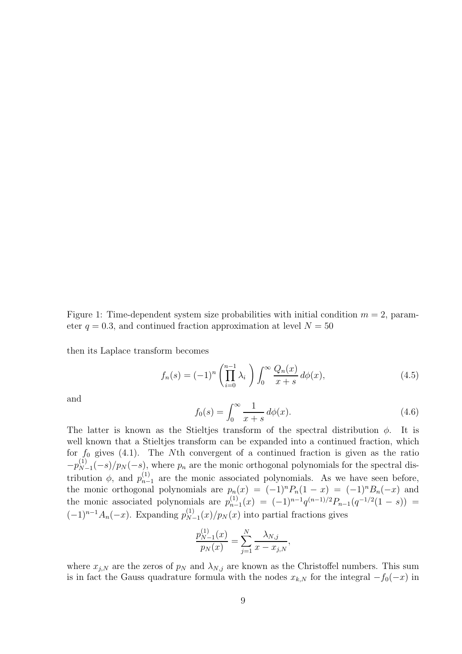Figure 1: Time-dependent system size probabilities with initial condition  $m = 2$ , parameter  $q = 0.3$ , and continued fraction approximation at level  $N = 50$ 

then its Laplace transform becomes

$$
f_n(s) = (-1)^n \left(\prod_{i=0}^{n-1} \lambda_i\right) \int_0^\infty \frac{Q_n(x)}{x+s} \, d\phi(x),\tag{4.5}
$$

and

$$
f_0(s) = \int_0^\infty \frac{1}{x+s} \, d\phi(x). \tag{4.6}
$$

The latter is known as the Stieltjes transform of the spectral distribution  $\phi$ . It is well known that a Stieltjes transform can be expanded into a continued fraction, which for *f*<sup>0</sup> gives (4.1). The *N*th convergent of a continued fraction is given as the ratio  $-p_{N-1}^{(1)}(-s)/p_N(-s)$ , where  $p_n$  are the monic orthogonal polynomials for the spectral distribution  $\phi$ , and  $p_{n-1}^{(1)}$  are the monic associated polynomials. As we have seen before, the monic orthogonal polynomials are  $p_n(x) = (-1)^n P_n(1-x) = (-1)^n B_n(-x)$  and the monic associated polynomials are  $p_{n-1}^{(1)}(x) = (-1)^{n-1}q^{(n-1)/2}P_{n-1}(q^{-1/2}(1-s)) =$  $(-1)^{n-1}A_n(-x)$ . Expanding  $p_{N-1}^{(1)}(x)/p_N(x)$  into partial fractions gives

$$
\frac{p_{N-1}^{(1)}(x)}{p_N(x)} = \sum_{j=1}^N \frac{\lambda_{N,j}}{x - x_{j,N}},
$$

where  $x_{j,N}$  are the zeros of  $p_N$  and  $\lambda_{N,j}$  are known as the Christoffel numbers. This sum is in fact the Gauss quadrature formula with the nodes  $x_{k,N}$  for the integral  $-f_0(-x)$  in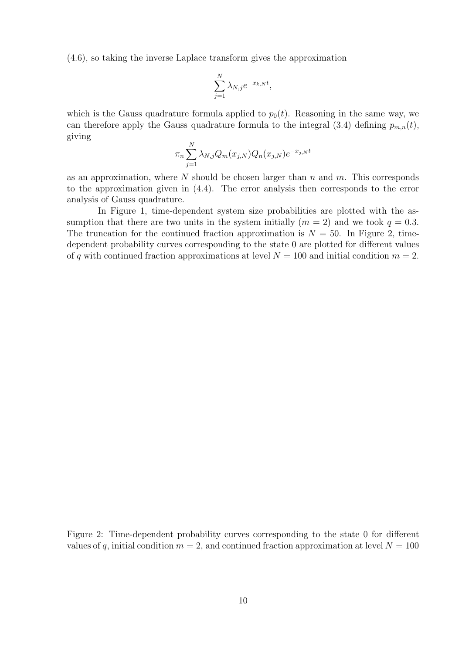(4.6), so taking the inverse Laplace transform gives the approximation

$$
\sum_{j=1}^{N} \lambda_{N,j} e^{-x_{k,N}t},
$$

which is the Gauss quadrature formula applied to  $p_0(t)$ . Reasoning in the same way, we can therefore apply the Gauss quadrature formula to the integral  $(3.4)$  defining  $p_{m,n}(t)$ , giving

$$
\pi_n \sum_{j=1}^N \lambda_{N,j} Q_m(x_{j,N}) Q_n(x_{j,N}) e^{-x_{j,N}t}
$$

as an approximation, where *N* should be chosen larger than *n* and *m*. This corresponds to the approximation given in (4.4). The error analysis then corresponds to the error analysis of Gauss quadrature.

In Figure 1, time-dependent system size probabilities are plotted with the assumption that there are two units in the system initially  $(m = 2)$  and we took  $q = 0.3$ . The truncation for the continued fraction approximation is  $N = 50$ . In Figure 2, timedependent probability curves corresponding to the state 0 are plotted for different values of *q* with continued fraction approximations at level  $N = 100$  and initial condition  $m = 2$ .

Figure 2: Time-dependent probability curves corresponding to the state 0 for different values of q, initial condition  $m = 2$ , and continued fraction approximation at level  $N = 100$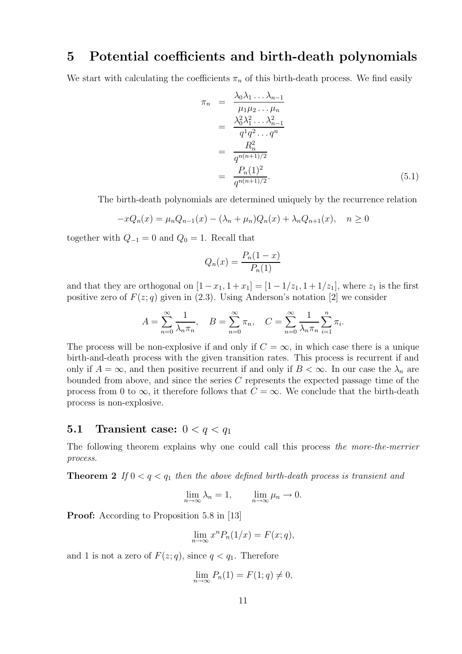#### **5 Potential coefficients and birth-death polynomials**

We start with calculating the coefficients  $\pi_n$  of this birth-death process. We find easily

$$
\pi_n = \frac{\lambda_0 \lambda_1 \dots \lambda_{n-1}}{\mu_1 \mu_2 \dots \mu_n} \n= \frac{\lambda_0^2 \lambda_1^2 \dots \lambda_{n-1}^2}{q^1 q^2 \dots q^n} \n= \frac{R_n^2}{q^{n(n+1)/2}} \n= \frac{P_n(1)^2}{q^{n(n+1)/2}}.
$$
\n(5.1)

The birth-death polynomials are determined uniquely by the recurrence relation

$$
-xQ_n(x) = \mu_n Q_{n-1}(x) - (\lambda_n + \mu_n)Q_n(x) + \lambda_n Q_{n+1}(x), \quad n \ge 0
$$

together with  $Q_{-1} = 0$  and  $Q_0 = 1$ . Recall that

$$
Q_n(x) = \frac{P_n(1-x)}{P_n(1)}
$$

and that they are orthogonal on  $[1-x_1, 1+x_1] = [1-1/z_1, 1+1/z_1]$ , where  $z_1$  is the first positive zero of  $F(z; q)$  given in (2.3). Using Anderson's notation [2] we consider

$$
A = \sum_{n=0}^{\infty} \frac{1}{\lambda_n \pi_n}, \quad B = \sum_{n=0}^{\infty} \pi_n, \quad C = \sum_{n=0}^{\infty} \frac{1}{\lambda_n \pi_n} \sum_{i=1}^n \pi_i.
$$

The process will be non-explosive if and only if  $C = \infty$ , in which case there is a unique birth-and-death process with the given transition rates. This process is recurrent if and only if  $A = \infty$ , and then positive recurrent if and only if  $B < \infty$ . In our case the  $\lambda_n$  are bounded from above, and since the series *C* represents the expected passage time of the process from 0 to  $\infty$ , it therefore follows that  $C = \infty$ . We conclude that the birth-death process is non-explosive.

#### **5.1 Transient case:**  $0 < q < q_1$

The following theorem explains why one could call this process *the more-the-merrier process*.

**Theorem 2** *If*  $0 < q < q_1$  *then the above defined birth-death process is transient and* 

$$
\lim_{n \to \infty} \lambda_n = 1, \qquad \lim_{n \to \infty} \mu_n \to 0.
$$

**Proof:** According to Proposition 5.8 in [13]

$$
\lim_{n \to \infty} x^n P_n(1/x) = F(x; q),
$$

and 1 is not a zero of  $F(z; q)$ , since  $q < q_1$ . Therefore

$$
\lim_{n \to \infty} P_n(1) = F(1; q) \neq 0,
$$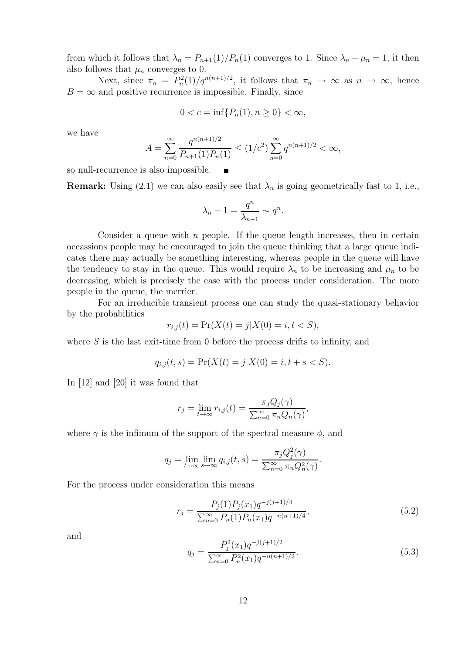from which it follows that  $\lambda_n = P_{n+1}(1)/P_n(1)$  converges to 1. Since  $\lambda_n + \mu_n = 1$ , it then also follows that  $\mu_n$  converges to 0.

Next, since  $\pi_n = P_n^2(1)/q^{n(n+1)/2}$ , it follows that  $\pi_n \to \infty$  as  $n \to \infty$ , hence  $B = \infty$  and positive recurrence is impossible. Finally, since

$$
0 < c = \inf\{P_n(1), n \ge 0\} < \infty,
$$

we have

$$
A = \sum_{n=0}^{\infty} \frac{q^{n(n+1)/2}}{P_{n+1}(1)P_n(1)} \le (1/c^2) \sum_{n=0}^{\infty} q^{n(n+1)/2} < \infty,
$$

so null-recurrence is also impossible.  $\blacksquare$ 

**Remark:** Using (2.1) we can also easily see that  $\lambda_n$  is going geometrically fast to 1, i.e.,

$$
\lambda_n - 1 = \frac{q^n}{\lambda_{n-1}} \sim q^n.
$$

Consider a queue with *n* people. If the queue length increases, then in certain occassions people may be encouraged to join the queue thinking that a large queue indicates there may actually be something interesting, whereas people in the queue will have the tendency to stay in the queue. This would require  $\lambda_n$  to be increasing and  $\mu_n$  to be decreasing, which is precisely the case with the process under consideration. The more people in the queue, the merrier.

For an irreducible transient process one can study the quasi-stationary behavior by the probabilities

$$
r_{i,j}(t) = \Pr(X(t) = j | X(0) = i, t < S),
$$

where *S* is the last exit-time from 0 before the process drifts to infinity, and

$$
q_{i,j}(t,s) = \Pr(X(t) = j | X(0) = i, t + s < S).
$$

In [12] and [20] it was found that

$$
r_j = \lim_{t \to \infty} r_{i,j}(t) = \frac{\pi_j Q_j(\gamma)}{\sum_{n=0}^{\infty} \pi_n Q_n(\gamma)},
$$

where  $\gamma$  is the infimum of the support of the spectral measure  $\phi$ , and

$$
q_j = \lim_{t \to \infty} \lim_{s \to \infty} q_{i,j}(t,s) = \frac{\pi_j Q_j^2(\gamma)}{\sum_{n=0}^{\infty} \pi_n Q_n^2(\gamma)}.
$$

For the process under consideration this means

$$
r_j = \frac{P_j(1)P_j(x_1)q^{-j(j+1)/4}}{\sum_{n=0}^{\infty} P_n(1)P_n(x_1)q^{-n(n+1)/4}},
$$
\n(5.2)

and

$$
q_j = \frac{P_j^2(x_1)q^{-j(j+1)/2}}{\sum_{n=0}^{\infty} P_n^2(x_1)q^{-n(n+1)/2}}.
$$
\n(5.3)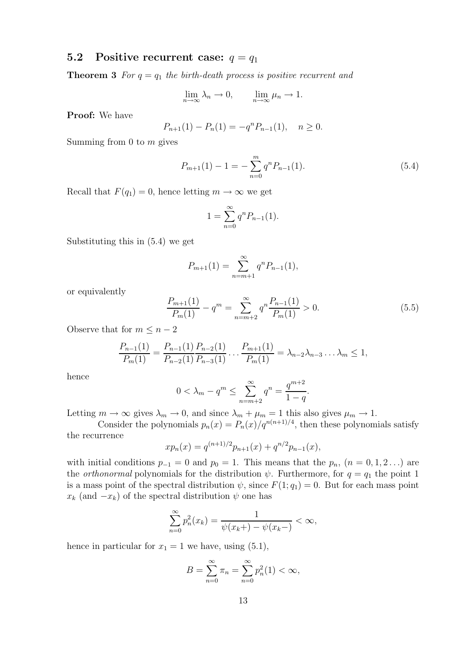#### **5.2** Positive recurrent case:  $q = q_1$

**Theorem 3** For  $q = q_1$  the birth-death process is positive recurrent and

$$
\lim_{n \to \infty} \lambda_n \to 0, \qquad \lim_{n \to \infty} \mu_n \to 1.
$$

**Proof:** We have

$$
P_{n+1}(1) - P_n(1) = -q^n P_{n-1}(1), \quad n \ge 0.
$$

Summing from 0 to *m* gives

$$
P_{m+1}(1) - 1 = -\sum_{n=0}^{m} q^n P_{n-1}(1).
$$
\n(5.4)

Recall that  $F(q_1) = 0$ , hence letting  $m \to \infty$  we get

$$
1 = \sum_{n=0}^{\infty} q^n P_{n-1}(1).
$$

Substituting this in (5.4) we get

$$
P_{m+1}(1) = \sum_{n=m+1}^{\infty} q^n P_{n-1}(1),
$$

or equivalently

$$
\frac{P_{m+1}(1)}{P_m(1)} - q^m = \sum_{n=m+2}^{\infty} q^n \frac{P_{n-1}(1)}{P_m(1)} > 0.
$$
\n(5.5)

Observe that for  $m \leq n-2$ 

$$
\frac{P_{n-1}(1)}{P_m(1)} = \frac{P_{n-1}(1)}{P_{n-2}(1)} \frac{P_{n-2}(1)}{P_{n-3}(1)} \dots \frac{P_{m+1}(1)}{P_m(1)} = \lambda_{n-2} \lambda_{n-3} \dots \lambda_m \le 1,
$$

hence

$$
0 < \lambda_m - q^m \le \sum_{n=m+2}^{\infty} q^n = \frac{q^{m+2}}{1-q}.
$$

Letting  $m \to \infty$  gives  $\lambda_m \to 0$ , and since  $\lambda_m + \mu_m = 1$  this also gives  $\mu_m \to 1$ .

Consider the polynomials  $p_n(x) = P_n(x)/q^{n(n+1)/4}$ , then these polynomials satisfy the recurrence

$$
xp_n(x) = q^{(n+1)/2}p_{n+1}(x) + q^{n/2}p_{n-1}(x),
$$

with initial conditions  $p_{-1} = 0$  and  $p_0 = 1$ . This means that the  $p_n$ ,  $(n = 0, 1, 2, ...)$  are the *orthonormal* polynomials for the distribution  $\psi$ . Furthermore, for  $q = q_1$  the point 1 is a mass point of the spectral distribution  $\psi$ , since  $F(1; q_1) = 0$ . But for each mass point  $x_k$  (and  $-x_k$ ) of the spectral distribution  $\psi$  one has

$$
\sum_{n=0}^{\infty} p_n^2(x_k) = \frac{1}{\psi(x_k + ) - \psi(x_k - )} < \infty,
$$

hence in particular for  $x_1 = 1$  we have, using  $(5.1)$ ,

$$
B = \sum_{n=0}^{\infty} \pi_n = \sum_{n=0}^{\infty} p_n^2(1) < \infty,
$$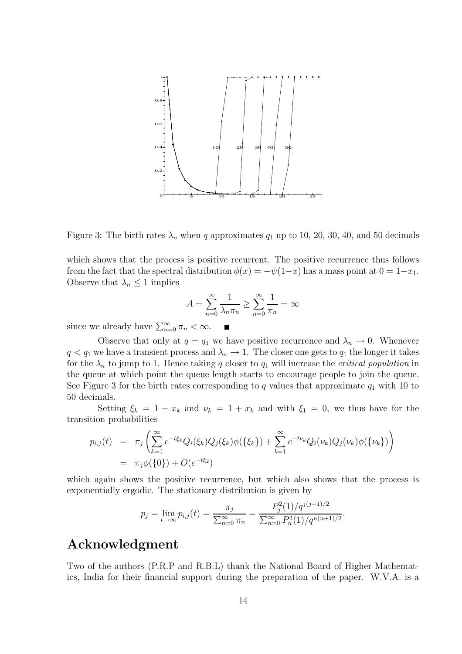

Figure 3: The birth rates  $\lambda_n$  when q approximates  $q_1$  up to 10, 20, 30, 40, and 50 decimals

which shows that the process is positive recurrent. The positive recurrence thus follows from the fact that the spectral distribution  $\phi(x) = -\psi(1-x)$  has a mass point at  $0 = 1-x_1$ . Observe that  $\lambda_n \leq 1$  implies

$$
A = \sum_{n=0}^{\infty} \frac{1}{\lambda_n \pi_n} \ge \sum_{n=0}^{\infty} \frac{1}{\pi_n} = \infty
$$

Е

since we already have  $\sum_{n=0}^{\infty} \pi_n < \infty$ .

Observe that only at  $q = q_1$  we have positive recurrence and  $\lambda_n \to 0$ . Whenever  $q < q_1$  we have a transient process and  $\lambda_n \to 1$ . The closer one gets to  $q_1$  the longer it takes for the  $\lambda_n$  to jump to 1. Hence taking q closer to  $q_1$  will increase the *critical population* in the queue at which point the queue length starts to encourage people to join the queue. See Figure 3 for the birth rates corresponding to  $q$  values that approximate  $q_1$  with 10 to 50 decimals.

Setting  $\xi_k = 1 - x_k$  and  $\nu_k = 1 + x_k$  and with  $\xi_1 = 0$ , we thus have for the transition probabilities

$$
p_{i,j}(t) = \pi_j \left( \sum_{k=1}^{\infty} e^{-t\xi_k} Q_i(\xi_k) Q_j(\xi_k) \phi(\{\xi_k\}) + \sum_{k=1}^{\infty} e^{-t\nu_k} Q_i(\nu_k) Q_j(\nu_k) \phi(\{\nu_k\}) \right)
$$
  
=  $\pi_j \phi(\{0\}) + O(e^{-t\xi_2})$ 

which again shows the positive recurrence, but which also shows that the process is exponentially ergodic. The stationary distribution is given by

$$
p_j = \lim_{t \to \infty} p_{i,j}(t) = \frac{\pi_j}{\sum_{n=0}^{\infty} \pi_n} = \frac{P_j^2(1)/q^{j(j+1)/2}}{\sum_{n=0}^{\infty} P_n^2(1)/q^{n(n+1)/2}}.
$$

## **Acknowledgment**

Two of the authors (P.R.P and R.B.L) thank the National Board of Higher Mathematics, India for their financial support during the preparation of the paper. W.V.A. is a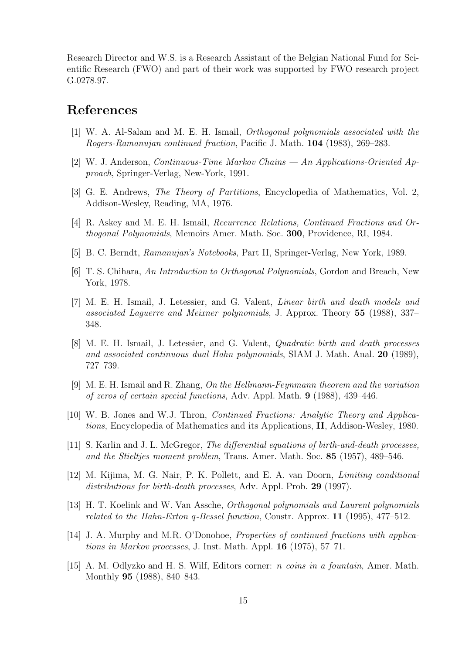Research Director and W.S. is a Research Assistant of the Belgian National Fund for Scientific Research (FWO) and part of their work was supported by FWO research project G.0278.97.

# **References**

- [1] W. A. Al-Salam and M. E. H. Ismail, *Orthogonal polynomials associated with the Rogers-Ramanujan continued fraction*, Pacific J. Math. **104** (1983), 269–283.
- [2] W. J. Anderson, *Continuous-Time Markov Chains An Applications-Oriented Approach*, Springer-Verlag, New-York, 1991.
- [3] G. E. Andrews, *The Theory of Partitions*, Encyclopedia of Mathematics, Vol. 2, Addison-Wesley, Reading, MA, 1976.
- [4] R. Askey and M. E. H. Ismail, *Recurrence Relations, Continued Fractions and Orthogonal Polynomials*, Memoirs Amer. Math. Soc. **300**, Providence, RI, 1984.
- [5] B. C. Berndt, *Ramanujan's Notebooks*, Part II, Springer-Verlag, New York, 1989.
- [6] T. S. Chihara, *An Introduction to Orthogonal Polynomials*, Gordon and Breach, New York, 1978.
- [7] M. E. H. Ismail, J. Letessier, and G. Valent, *Linear birth and death models and associated Laguerre and Meixner polynomials*, J. Approx. Theory **55** (1988), 337– 348.
- [8] M. E. H. Ismail, J. Letessier, and G. Valent, *Quadratic birth and death processes and associated continuous dual Hahn polynomials*, SIAM J. Math. Anal. **20** (1989), 727–739.
- [9] M. E. H. Ismail and R. Zhang, *On the Hellmann-Feynmann theorem and the variation of zeros of certain special functions*, Adv. Appl. Math. **9** (1988), 439–446.
- [10] W. B. Jones and W.J. Thron, *Continued Fractions: Analytic Theory and Applications*, Encyclopedia of Mathematics and its Applications, **II**, Addison-Wesley, 1980.
- [11] S. Karlin and J. L. McGregor, *The differential equations of birth-and-death processes, and the Stieltjes moment problem*, Trans. Amer. Math. Soc. **85** (1957), 489–546.
- [12] M. Kijima, M. G. Nair, P. K. Pollett, and E. A. van Doorn, *Limiting conditional distributions for birth-death processes*, Adv. Appl. Prob. **29** (1997).
- [13] H. T. Koelink and W. Van Assche, *Orthogonal polynomials and Laurent polynomials related to the Hahn-Exton q-Bessel function*, Constr. Approx. **11** (1995), 477–512.
- [14] J. A. Murphy and M.R. O'Donohoe, *Properties of continued fractions with applications in Markov processes*, J. Inst. Math. Appl. **16** (1975), 57–71.
- [15] A. M. Odlyzko and H. S. Wilf, Editors corner: *n coins in a fountain*, Amer. Math. Monthly **95** (1988), 840–843.